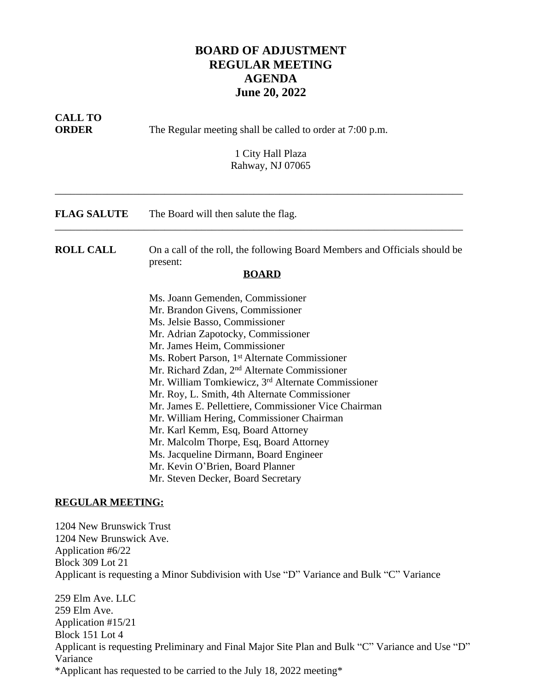## **BOARD OF ADJUSTMENT REGULAR MEETING AGENDA June 20, 2022**

| <b>CALL TO</b><br><b>ORDER</b>                                                                                          | The Regular meeting shall be called to order at 7:00 p.m.                                                                                                                                                                                                                                                                                                                                                                                                                                                                                                                                                                                                                                                                          |
|-------------------------------------------------------------------------------------------------------------------------|------------------------------------------------------------------------------------------------------------------------------------------------------------------------------------------------------------------------------------------------------------------------------------------------------------------------------------------------------------------------------------------------------------------------------------------------------------------------------------------------------------------------------------------------------------------------------------------------------------------------------------------------------------------------------------------------------------------------------------|
|                                                                                                                         | 1 City Hall Plaza<br>Rahway, NJ 07065                                                                                                                                                                                                                                                                                                                                                                                                                                                                                                                                                                                                                                                                                              |
| <b>FLAG SALUTE</b>                                                                                                      | The Board will then salute the flag.                                                                                                                                                                                                                                                                                                                                                                                                                                                                                                                                                                                                                                                                                               |
| <b>ROLL CALL</b>                                                                                                        | On a call of the roll, the following Board Members and Officials should be<br>present:<br><b>BOARD</b>                                                                                                                                                                                                                                                                                                                                                                                                                                                                                                                                                                                                                             |
|                                                                                                                         | Ms. Joann Gemenden, Commissioner<br>Mr. Brandon Givens, Commissioner<br>Ms. Jelsie Basso, Commissioner<br>Mr. Adrian Zapotocky, Commissioner<br>Mr. James Heim, Commissioner<br>Ms. Robert Parson, 1 <sup>st</sup> Alternate Commissioner<br>Mr. Richard Zdan, 2 <sup>nd</sup> Alternate Commissioner<br>Mr. William Tomkiewicz, 3 <sup>rd</sup> Alternate Commissioner<br>Mr. Roy, L. Smith, 4th Alternate Commissioner<br>Mr. James E. Pellettiere, Commissioner Vice Chairman<br>Mr. William Hering, Commissioner Chairman<br>Mr. Karl Kemm, Esq, Board Attorney<br>Mr. Malcolm Thorpe, Esq, Board Attorney<br>Ms. Jacqueline Dirmann, Board Engineer<br>Mr. Kevin O'Brien, Board Planner<br>Mr. Steven Decker, Board Secretary |
| <b>REGULAR MEETING:</b>                                                                                                 |                                                                                                                                                                                                                                                                                                                                                                                                                                                                                                                                                                                                                                                                                                                                    |
| 1204 New Brunswick Trust<br>1204 New Brunswick Ave.<br>Application #6/22<br><b>Block 309 Lot 21</b><br>259 Elm Ave. LLC | Applicant is requesting a Minor Subdivision with Use "D" Variance and Bulk "C" Variance                                                                                                                                                                                                                                                                                                                                                                                                                                                                                                                                                                                                                                            |
| 259 Elm Ave.<br>Application #15/21                                                                                      |                                                                                                                                                                                                                                                                                                                                                                                                                                                                                                                                                                                                                                                                                                                                    |

Block 151 Lot 4 Applicant is requesting Preliminary and Final Major Site Plan and Bulk "C" Variance and Use "D" Variance \*Applicant has requested to be carried to the July 18, 2022 meeting\*